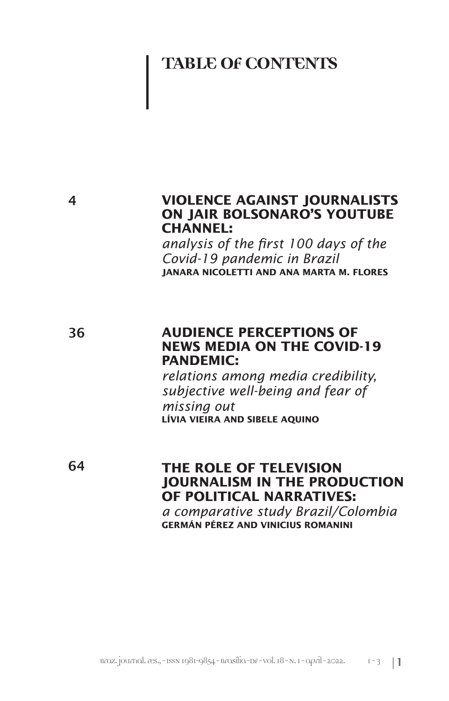# **TABLE OF CONTENTS**

## **VIOLENCE AGAINST JOURNALISTS ON JAIR BOLSONARO'S YOUTUBE CHANNEL:**

*analysis of the first 100 days of the Covid-19 pandemic in Brazil* **JANARA NICOLETTI AND ANA MARTA M. FLORES**

36

# **AUDIENCE PERCEPTIONS OF NEWS MEDIA ON THE COVID-19 PANDEMIC:**

*relations among media credibility, subjective well-being and fear of missing out* **LÍVIA VIEIRA AND SIBELE AQUINO**

64

# **THE ROLE OF TELEVISION JOURNALISM IN THE PRODUCTION OF POLITICAL NARRATIVES:**

*a comparative study Brazil/Colombia* **GERMÁN PÉREZ AND VINICIUS ROMANINI**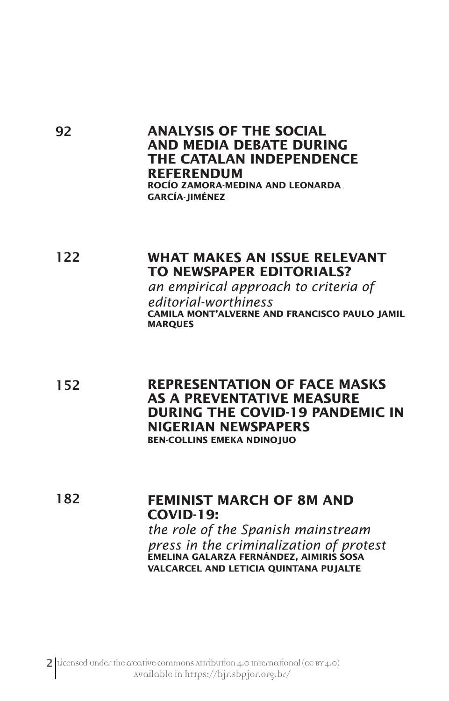### **ANALYSIS OF THE SOCIAL AND MEDIA DEBATE DURING THE CATALAN INDEPENDENCE REFERENDUM ROCÍO ZAMORA-MEDINA AND LEONARDA GARCÍA-JIMÉNEZ**

92

### 122 **WHAT MAKES AN ISSUE RELEVANT TO NEWSPAPER EDITORIALS?**

*an empirical approach to criteria of editorial-worthiness* **CAMILA MONT'ALVERNE AND FRANCISCO PAULO JAMIL MARQUES**

152 **REPRESENTATION OF FACE MASKS AS A PREVENTATIVE MEASURE DURING THE COVID-19 PANDEMIC IN NIGERIAN NEWSPAPERS BEN-COLLINS EMEKA NDINOJUO**

#### 182 **FEMINIST MARCH OF 8M AND COVID-19:**

*the role of the Spanish mainstream press in the criminalization of protest* **EMELINA GALARZA FERNÁNDEZ, AIMIRIS SOSA VALCARCEL AND LETICIA QUINTANA PUJALTE**